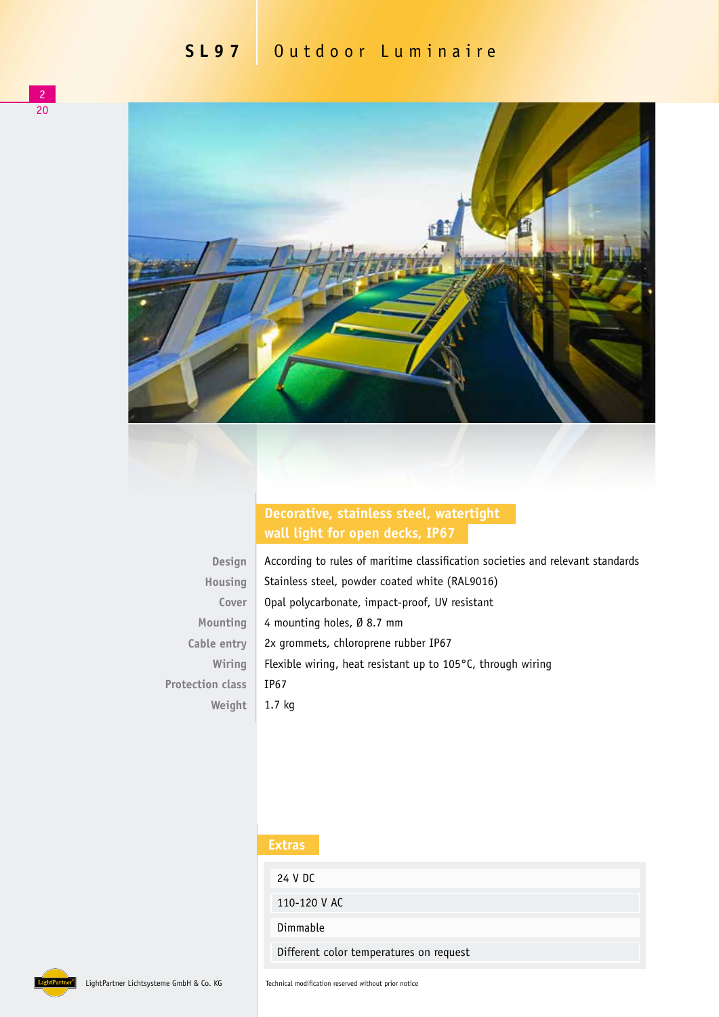

## **Decorative, stainless steel, watertight wall light for open decks, IP67**

| Design                  |
|-------------------------|
| Housing                 |
| Cover                   |
| Mounting                |
| Cable entry             |
| Wiring                  |
| <b>Protection class</b> |
| Weight                  |

According to rules of maritime classification societies and relevant standards Stainless steel, powder coated white (RAL9016) Opal polycarbonate, impact-proof, UV resistant 4 mounting holes, Ø 8.7 mm 2x grommets, chloroprene rubber IP67 Flexible wiring, heat resistant up to 105°C, through wiring IP67 1.7 kg

## **Extras**

24 V DC 110-120 V AC Dimmable

Different color temperatures on request



LightPartner Lichtsysteme GmbH & Co. KG